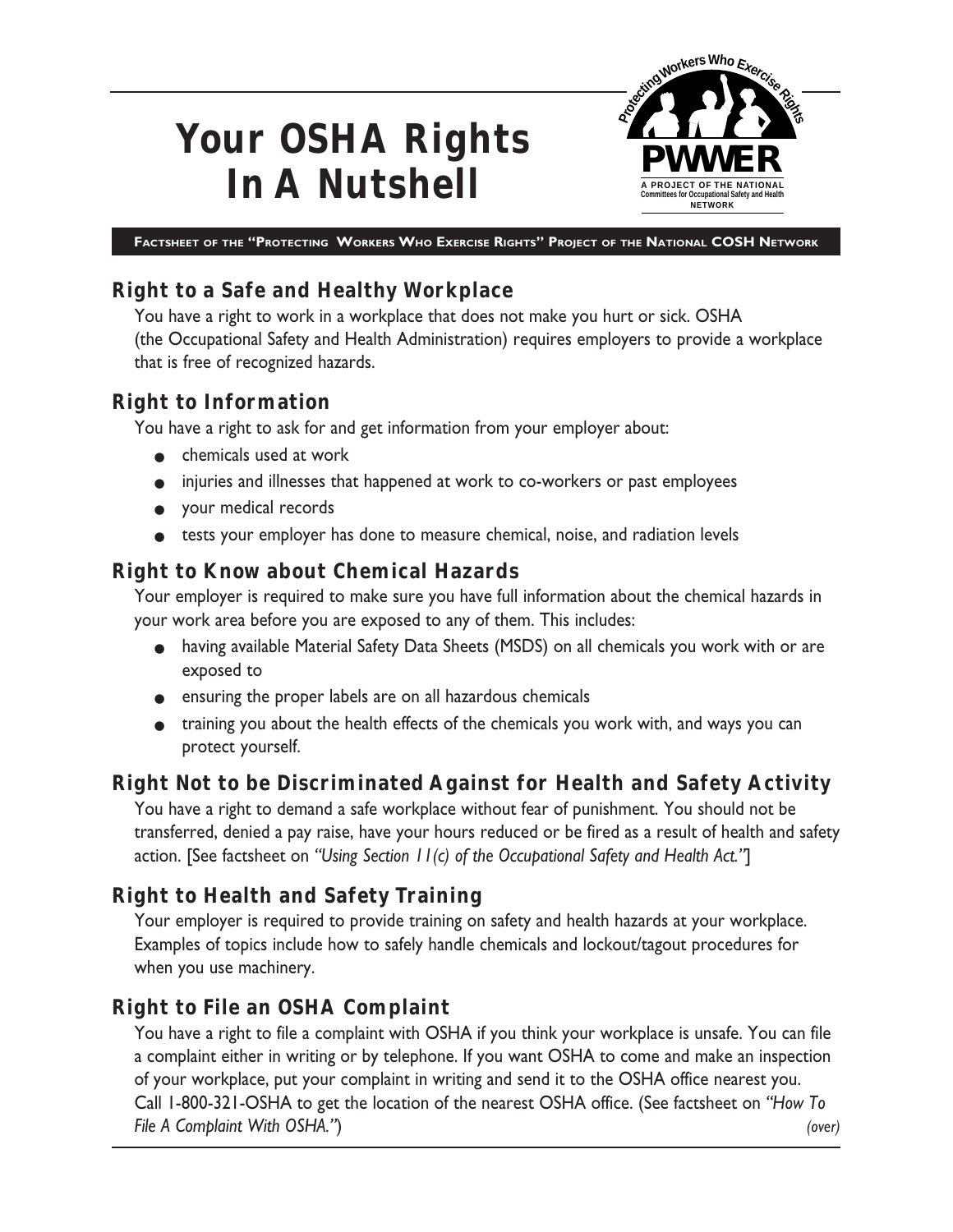# **Your OSHA Rights In A Nutshell**



**FACTSHEET OF THE "PROTECTING WORKERS WHO EXERCISE RIGHTS" PROJECT OF THE NATIONAL COSH NETWORK**

# **Right to a Safe and Healthy Workplace**

You have a right to work in a workplace that does not make you hurt or sick. OSHA (the Occupational Safety and Health Administration) requires employers to provide a workplace that is free of recognized hazards.

## **Right to Information**

You have a right to ask for and get information from your employer about:

- chemicals used at work
- injuries and illnesses that happened at work to co-workers or past employees
- your medical records
- tests your employer has done to measure chemical, noise, and radiation levels

# **Right to Know about Chemical Hazards**

Your employer is required to make sure you have full information about the chemical hazards in your work area before you are exposed to any of them. This includes:

- having available Material Safety Data Sheets (MSDS) on all chemicals you work with or are exposed to
- ensuring the proper labels are on all hazardous chemicals
- training you about the health effects of the chemicals you work with, and ways you can protect yourself.

# **Right Not to be Discriminated Against for Health and Safety Activity**

You have a right to demand a safe workplace without fear of punishment. You should not be transferred, denied a pay raise, have your hours reduced or be fired as a result of health and safety action. [See factsheet on *"Using Section 11(c) of the Occupational Safety and Health Act."*]

## **Right to Health and Safety Training**

Your employer is required to provide training on safety and health hazards at your workplace. Examples of topics include how to safely handle chemicals and lockout/tagout procedures for when you use machinery.

## **Right to File an OSHA Complaint**

You have a right to file a complaint with OSHA if you think your workplace is unsafe. You can file a complaint either in writing or by telephone. If you want OSHA to come and make an inspection of your workplace, put your complaint in writing and send it to the OSHA office nearest you. Call 1-800-321-OSHA to get the location of the nearest OSHA office. (See factsheet on *"How To File A Complaint With OSHA."*) *(over)*